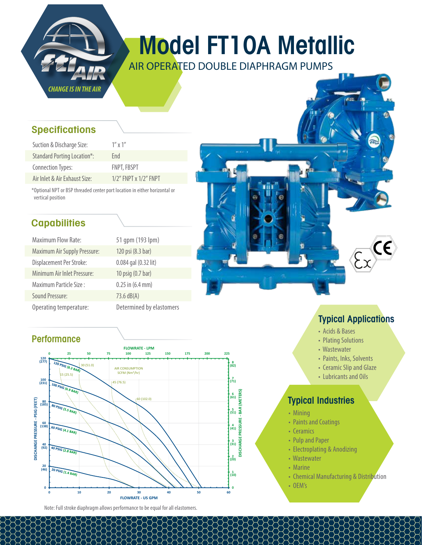

## Model FT10A Metallic

AIR OPERATED DOUBLE DIAPHRAGM PUMPS

#### **Specifications**

| Suction & Discharge Size:          | $1''$ x $1''$               |
|------------------------------------|-----------------------------|
| <b>Standard Porting Location*:</b> | Fnd                         |
| <b>Connection Types:</b>           | <b>FNPT, FBSPT</b>          |
| Air Inlet & Air Exhaust Size:      | $1/2$ " FNPT x $1/2$ " FNPT |

\*Optional NPT or BSP threaded center port location in either horizontal or vertical position

### **Capabilities**

| <b>Maximum Flow Rate:</b>           | 51 qpm (193 lpm)         |
|-------------------------------------|--------------------------|
| <b>Maximum Air Supply Pressure:</b> | 120 psi (8.3 bar)        |
| Displacement Per Stroke:            | 0.084 gal (0.32 lit)     |
| Minimum Air Inlet Pressure:         | 10 psig (0.7 bar)        |
| Maximum Particle Size:              | $0.25$ in $(6.4$ mm)     |
| Sound Pressure:                     | 73.6 dB(A)               |
| Operating temperature:              | Determined by elastomers |

#### **Performance**



Note: Full stroke diaphragm allows performance to be equal for all elastomers.

### Typical Applications

- Acids & Bases
- Plating Solutions
- Wastewater
- Paints, Inks, Solvents
- Ceramic Slip and Glaze
- Lubricants and Oils

#### Typical Industries

- Mining
- Paints and Coatings
- Ceramics
- Pulp and Paper
- Electroplating & Anodizing
- Wastewater
- Marine
- Chemical Manufacturing & Distribution
- OEM's